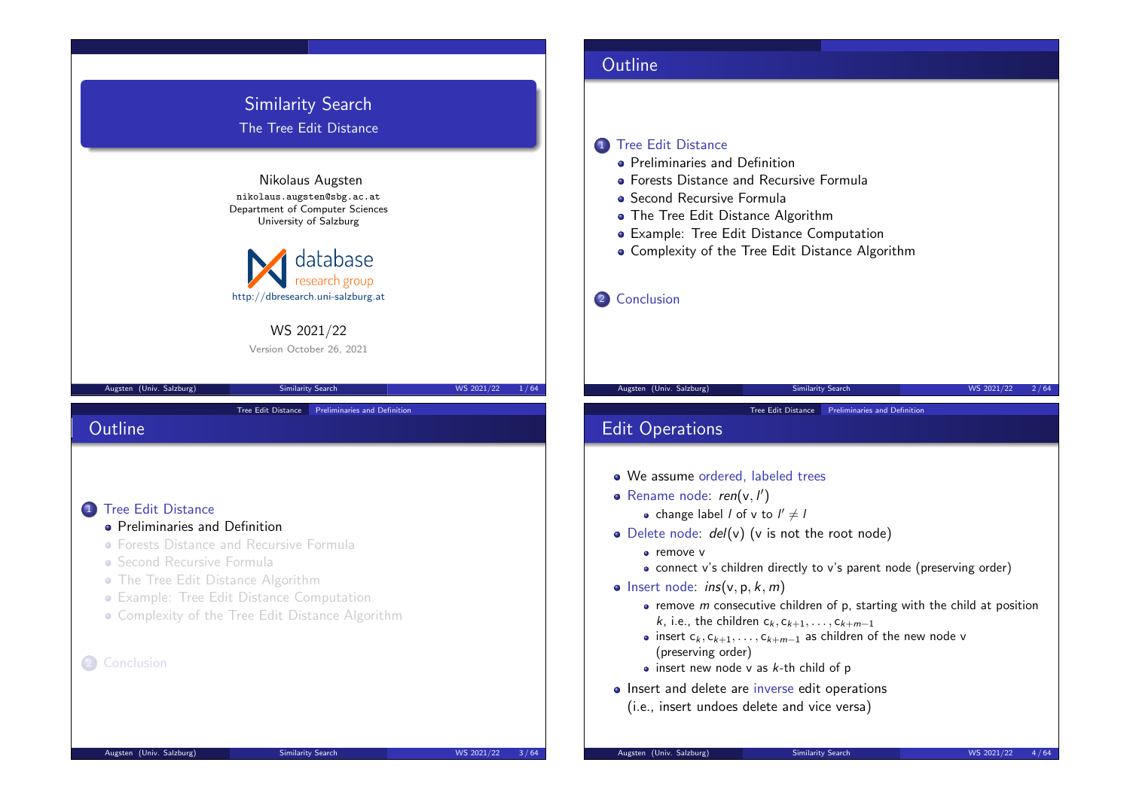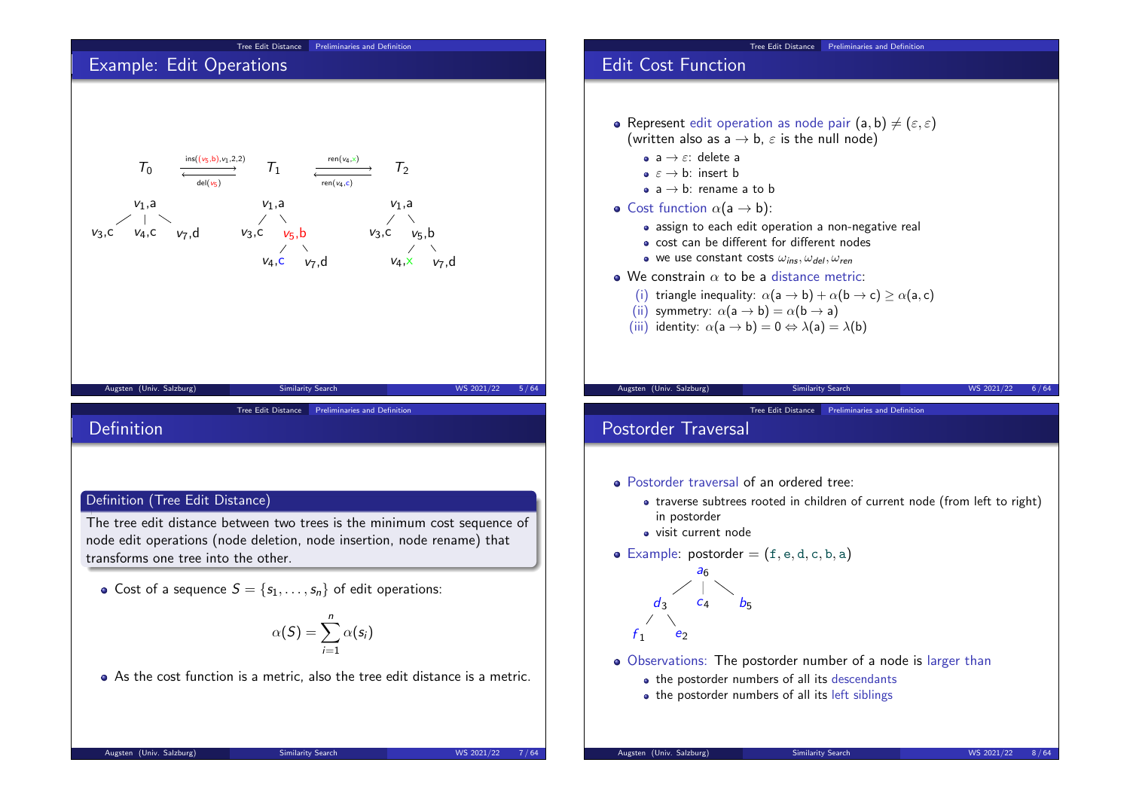

Tree Edit Distance Preliminaries and Definition

- **•** Represent edit operation as node pair  $(a, b) \neq (\varepsilon, \varepsilon)$ (written also as  $a \rightarrow b$ ,  $\varepsilon$  is the null node)
	- assign to each edit operation a non-negative real
	- cost can be different for different nodes
	- we use constant costs  $\omega_{ins}$ ,  $\omega_{del}$ ,  $\omega_{ren}$
- $\bullet$  We constrain  $\alpha$  to be a distance metric:
	- (i) triangle inequality:  $\alpha$ (a  $\rightarrow$  b) +  $\alpha$ (b  $\rightarrow$  c) >  $\alpha$ (a, c)
	-
	- (iii) identity:  $\alpha$ (a  $\rightarrow$  b) = 0  $\Leftrightarrow$   $\lambda$ (a) =  $\lambda$ (b)

Tree Edit Distance Preliminaries and Definition

- Postorder traversal of an ordered tree:
	- traverse subtrees rooted in children of current node (from left to right)
- Example: postorder  $=$   $(f, e, d, c, b, a)$

- Observations: The postorder number of a node is larger than
	- the postorder numbers of all its descendants
	- the postorder numbers of all its left siblings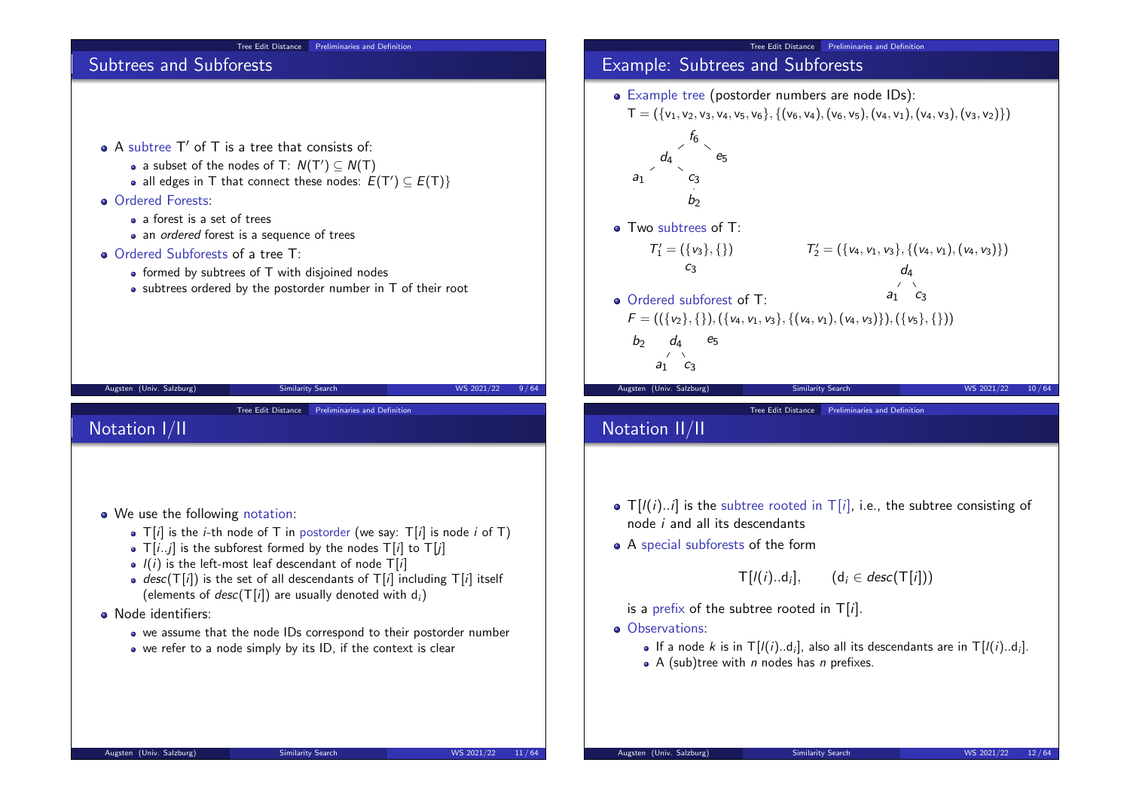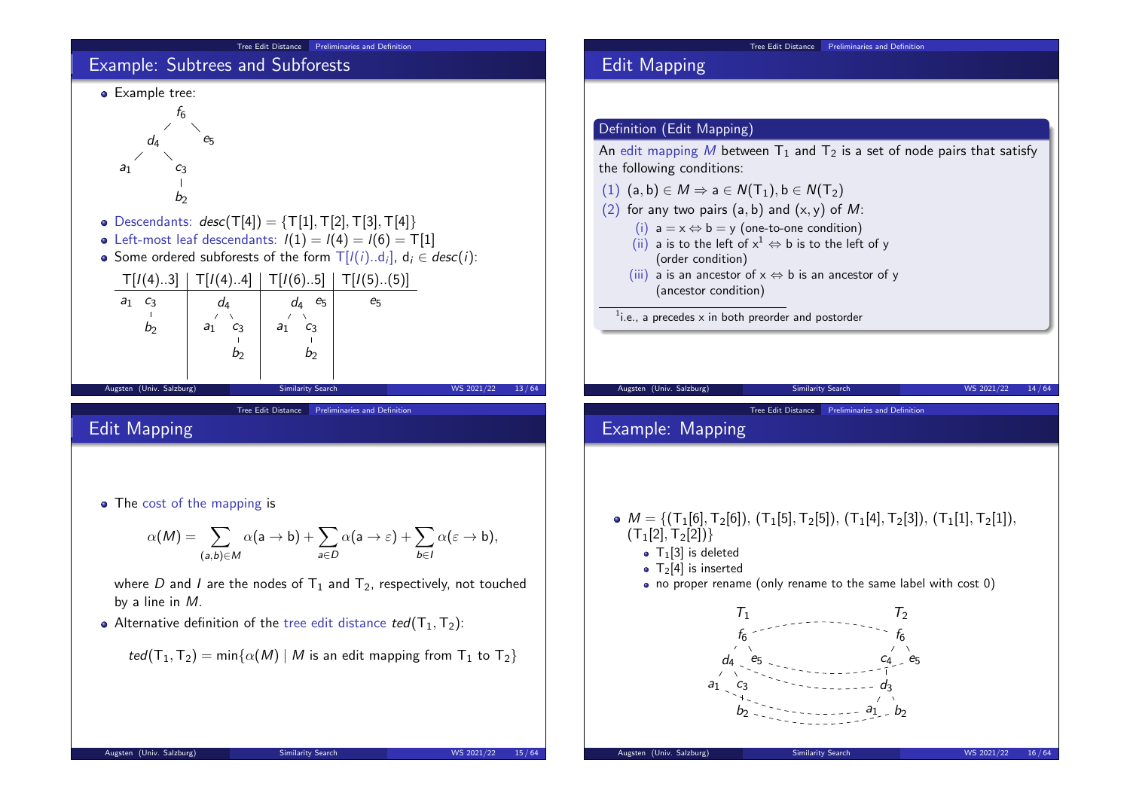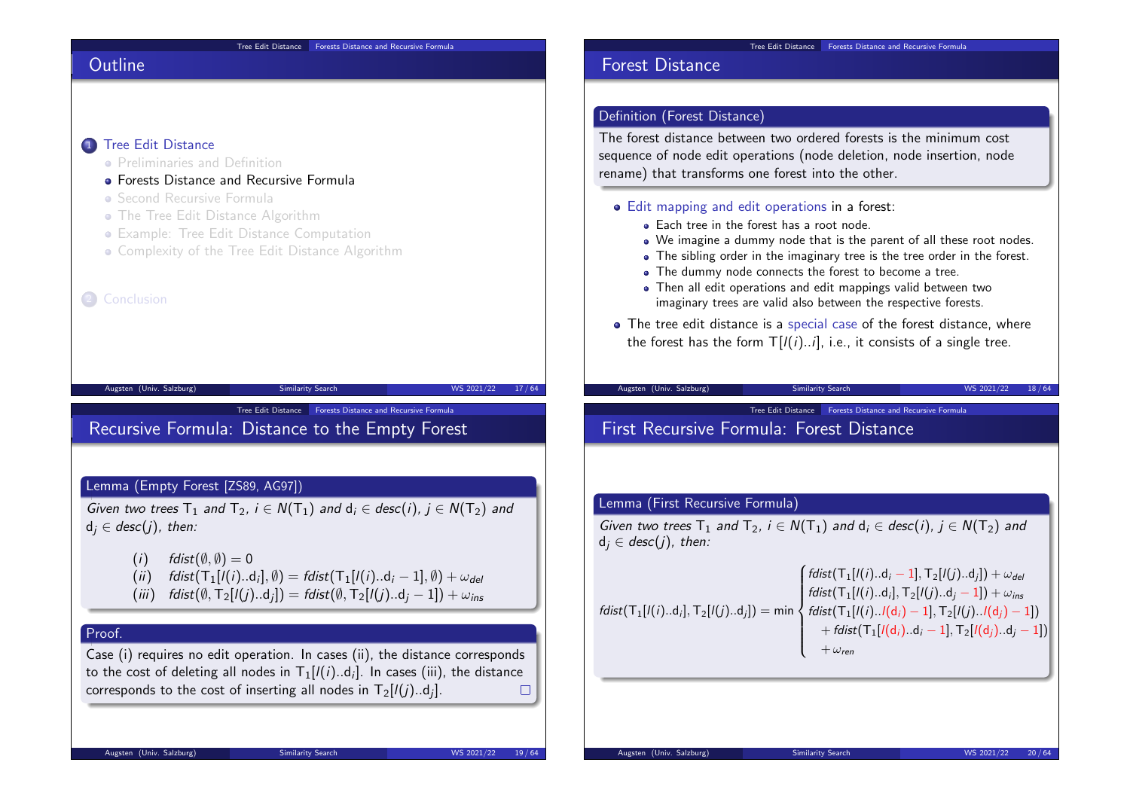#### Tree Edit Distance Forests Distance and Recursive Formula

# **Outline**

### 1 Tree Edit Distance

- **Preliminaries and Definition**
- **Forests Distance and Recursive Formula**
- Second Recursive Formula
- **The Tree Edit Distance Algorithm**
- Example: Tree Edit Distance Computation
- Complexity of the Tree Edit Distance Algorithm

#### 2 Conclusion

Tree Edit Distance **Forests Distance and Recursive Formula** 

Augsten (Univ. Salzburg) Similarity Search WS 2021/22 17/64

# Recursive Formula: Distance to the Empty Forest

#### Lemma (Empty Forest [ZS89, AG97])

Given two trees  $T_1$  and  $T_2$ ,  $i \in N(T_1)$  and  $d_i \in desc(i)$ ,  $i \in N(T_2)$  and  $d_i \in desc(j)$ , then:

- (i)  $fdist(\emptyset, \emptyset) = 0$
- $(i)$  fdist $(T_1[I(i)..d_i], \emptyset) = \text{fdist}(T_1[I(i)..d_i 1], \emptyset) + \omega_{\text{del}}$
- (iii) fdist $(\emptyset, \mathsf{T}_2[l(j)..d_j]) = \mathsf{fdist}(\emptyset, \mathsf{T}_2[l(j)..d_j 1]) + \omega_{\mathsf{ins}}$

# Proof.

Case (i) requires no edit operation. In cases (ii), the distance corresponds to the cost of deleting all nodes in  ${\sf T}_1$ [/(*i*)..d<sub>*i*]</sub>. In cases (iii), the distance corresponds to the cost of inserting all nodes in  $\mathsf{T}_2[l(j)..{\mathsf{d}}_j].$ 

# Forest Distance

# Definition (Forest Distance)

The forest distance between two ordered forests is the minimum cost sequence of node edit operations (node deletion, node insertion, node rename) that transforms one forest into the other.

#### Edit mapping and edit operations in a forest:

- Each tree in the forest has a root node.
- We imagine a dummy node that is the parent of all these root nodes.
- The sibling order in the imaginary tree is the tree order in the forest.
- The dummy node connects the forest to become a tree.
- Then all edit operations and edit mappings valid between two imaginary trees are valid also between the respective forests.
- The tree edit distance is a special case of the forest distance, where the forest has the form  $T[l(i)..i]$ , i.e., it consists of a single tree.

# Augsten (Univ. Salzburg) Similarity Search WS 2021/22 18/64

Tree Edit Distance **Forests Distance and Recursive Formula** 

# First Recursive Formula: Forest Distance

#### Lemma (First Recursive Formula)

Given two trees  $T_1$  and  $T_2$ ,  $i \in N(T_1)$  and  $d_i \in desc(i)$ ,  $j \in N(T_2)$  and  $d_i \in desc(i)$ , then:

$$
fdist(T_1[l(i)..d_i], T_2[l(j)..d_j]) = min \begin{cases} fdist(T_1[l(i)..d_i - 1], T_2[l(j)..d_j]) + \omega_{del} \\ fdist(T_1[l(i)..d_i], T_2[l(j)..d_j - 1]) + \omega_{ins} \\ fdist(T_1[l(i)..l(d_i) - 1], T_2[l(j)..l(d_j) - 1]) \\ + fdist(T_1[l(d_i)..d_i - 1], T_2[l(d_j)..d_j - 1]) \\ + \omega_{ren} \end{cases}
$$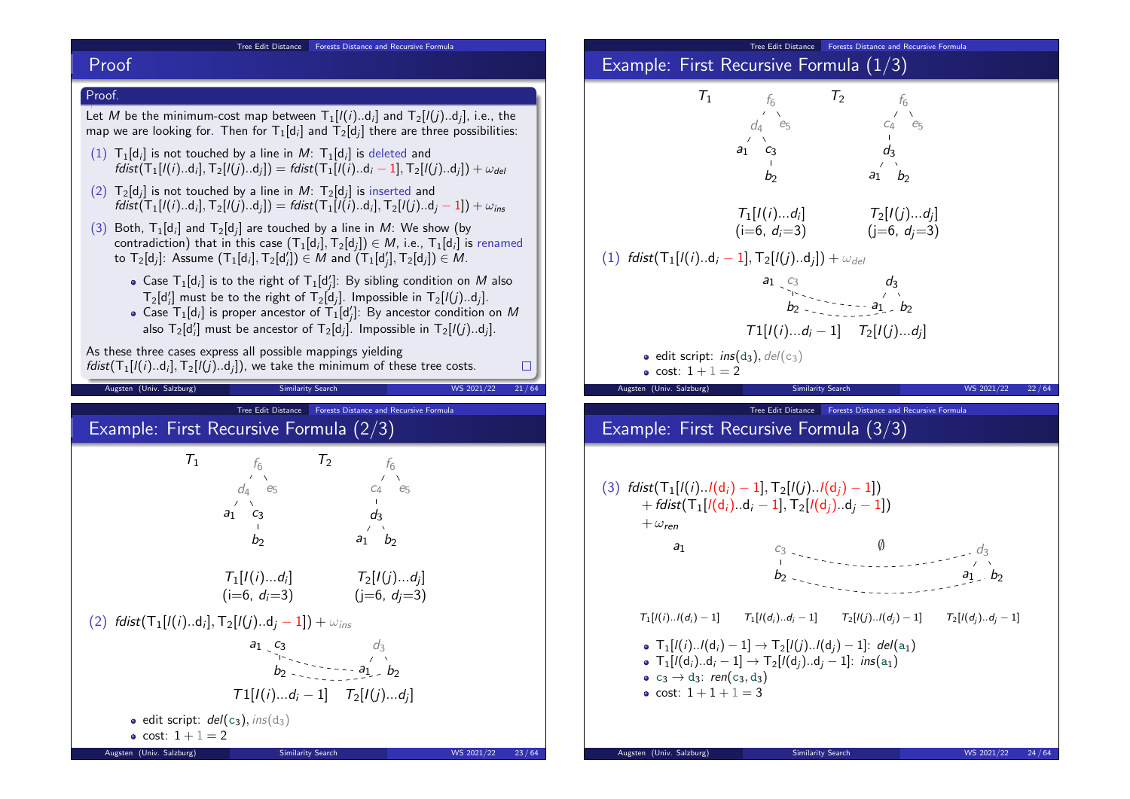#### Tree Edit Distance Forests Distance and Recursive Formula

## Proof



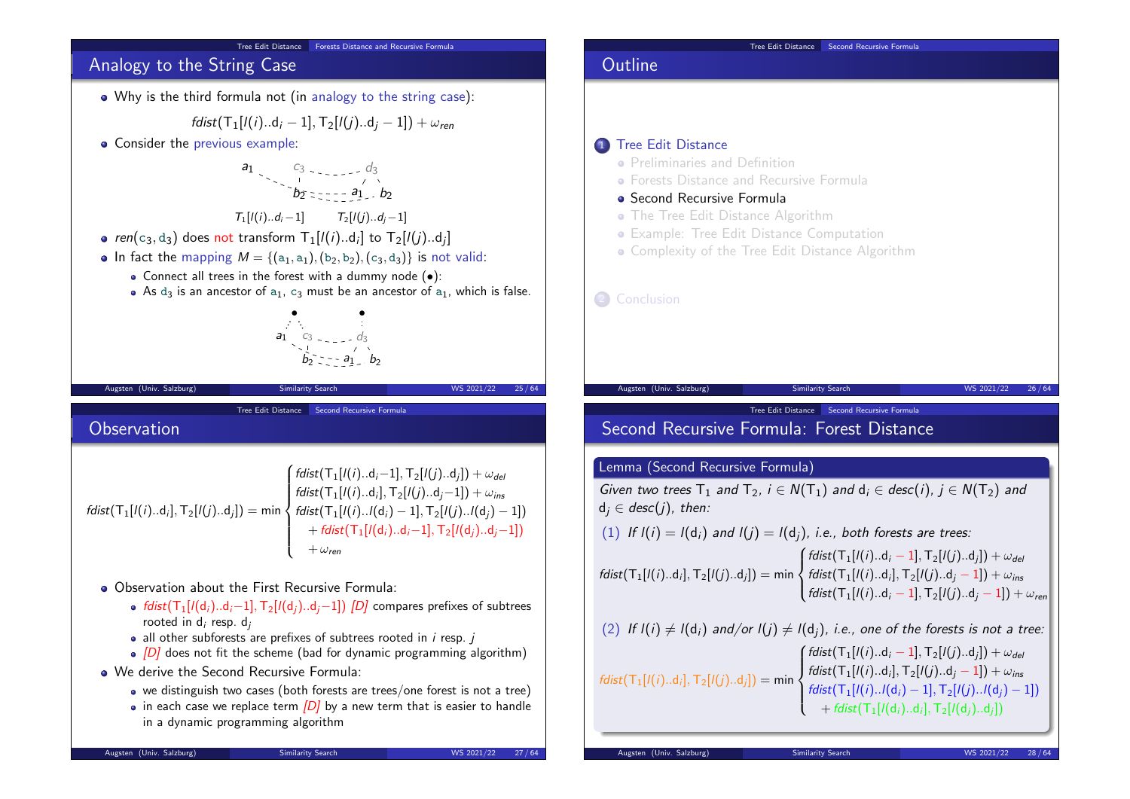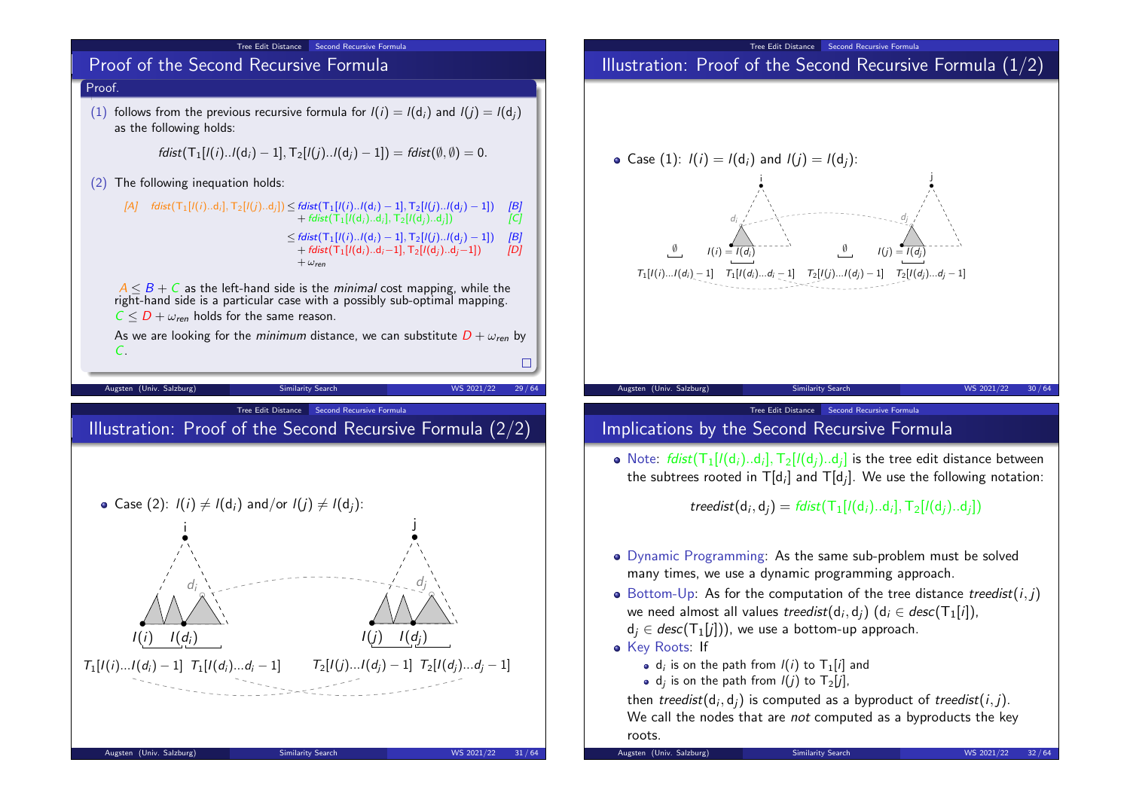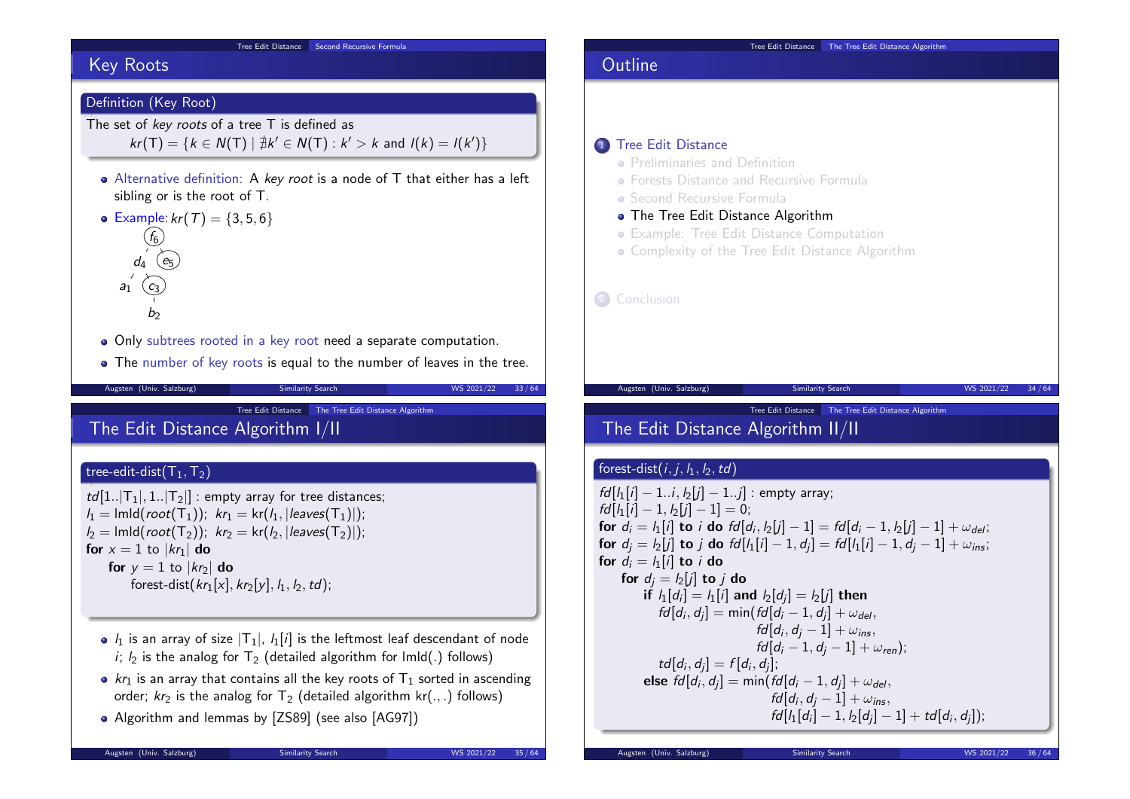#### Tree Edit Distance Second Recursive Formula

# Key Roots

### Definition (Key Root)

The set of key roots of a tree T is defined as  $kr(T) = \{ k \in N(T) \mid \nexists k' \in N(T) : k' > k \text{ and } l(k) = l(k') \}$ 

Alternative definition: A key root is a node of T that either has a left sibling or is the root of T.

• Example:  $kr(T) = \{3, 5, 6\}$  $(f_6)$  $d_4$  (e<sub>5</sub>



Only subtrees rooted in a key root need a separate computation.

• The number of key roots is equal to the number of leaves in the tree.

Tree Edit Distance The Tree Edit Distance Algorithm

# The Edit Distance Algorithm I/II

### tree-edit-dist $(T_1,T_2)$

 $td[1..|T_1|, 1..|T_2|]$  : empty array for tree distances;  $l_1 = \text{lmld}(\text{root}(T_1)); \ \ kr_1 = \text{kr}(l_1, |\text{leaves}(T_1)|);$  $l_2$  = lmld(root(T<sub>2</sub>)); kr<sub>2</sub> = kr( $l_2$ , |leaves(T<sub>2</sub>)|); for  $x = 1$  to  $|kr_1|$  do for  $y = 1$  to  $|kr_2|$  do forest-dist( $kr_1[x]$ ,  $kr_2[y]$ ,  $l_1$ ,  $l_2$ ,  $td$ );

- $\bullet$   $l_1$  is an array of size  $|T_1|$ ,  $l_1[i]$  is the leftmost leaf descendant of node i;  $l_2$  is the analog for  $T_2$  (detailed algorithm for lmld(.) follows)
- $kr_1$  is an array that contains all the key roots of  $T_1$  sorted in ascending order;  $kr_2$  is the analog for  $T_2$  (detailed algorithm kr(.,.) follows)
- Algorithm and lemmas by [ZS89] (see also [AG97])

Augsten (Univ. Salzburg) Similarity Search WS 2021/22 33/64 **• Forests Distance and Recursive Formula** • Second Recursive Formula • The Tree Edit Distance Algorithm Example: Tree Edit Distance Computation • Complexity of the Tree Edit Distance Algorithm 2 Conclusion Augsten (Univ. Salzburg) Similarity Search WS 2021/22 34/64 Tree Edit Distance The Tree Edit Distance Algorithm The Edit Distance Algorithm II/II forest-dist $(i, j, l_1, l_2, td)$  $fd[i_1[i] - 1..i, j_2[i] - 1..j]$  : empty array;  $fd[I_1[i] - 1, I_2[j] - 1] = 0;$ for  $d_i = l_1[i]$  to i do  $fd[d_i, l_2[j] - 1] = fd[d_i - 1, l_2[j] - 1] + \omega_{del}$ ; for  $d_j = l_2[j]$  to  $j$  do  $fd[l_1[i] - 1, d_j] = fd[l_1[i] - 1, d_j - 1] + \omega_{ins};$ for  $d_i = l_1[i]$  to i do for  $d_i = l_2[i]$  to j do if  $I_1[d_i] = I_1[i]$  and  $I_2[d_j] = I_2[j]$  then  $fd[d_i, d_j] = min(fd[d_i - 1, d_j] + \omega_{del},$  $fd[d_i, d_j - 1] + \omega_{ins},$  $fd[d_i - 1, d_i - 1] + \omega_{ren});$  $td[d_i, d_j] = f[d_i, d_j];$ 

**Outline** 

1 Tree Edit Distance

**• Preliminaries and Definition** 

Tree Edit Distance The Tree Edit Distance Algorithm

else  $\mathit{fd}[d_i, d_j] = \mathsf{min}(\mathit{fd}[d_i-1, d_j] + \omega_{\mathit{del}},$ 

 $fd[d_i, d_j - 1] + \omega_{ins},$ 

 $fd[l_1[d_i] - 1, l_2[d_j] - 1] + td[d_i, d_j]);$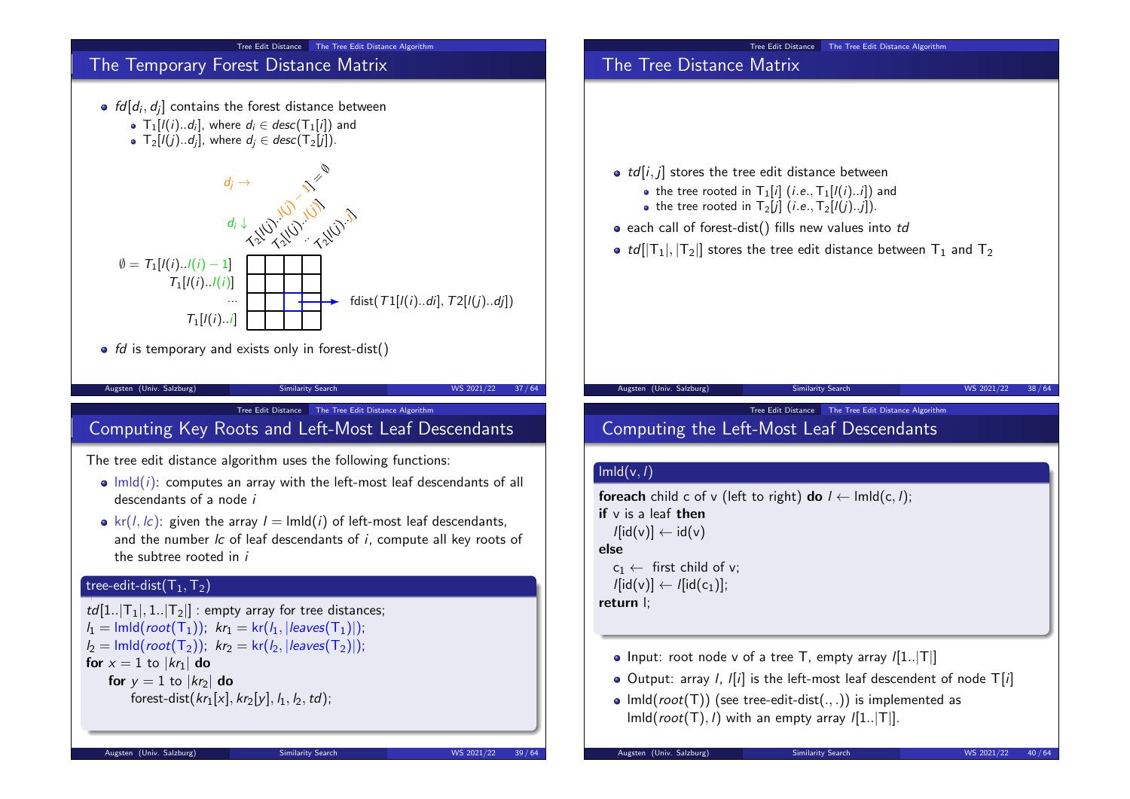

# Tree Edit Distance The Tree Edit Distance Algorithm The Tree Distance Matrix  $\bullet$  td[i, j] stores the tree edit distance between • the tree rooted in  $T_1[i]$  (*i.e.*,  $T_1[i(i)...i]$ ) and • the tree rooted in  $T_2[i]$  (*i.e.*,  $T_2[i](i)...i]$ ).  $\bullet$  each call of forest-dist() fills new values into td •  $td[|T_1|, |T_2|]$  stores the tree edit distance between  $T_1$  and  $T_2$ Augsten (Univ. Salzburg) Similarity Search WS 2021/22 38 / 64 Tree Edit Distance The Tree Edit Distance Algorithm Computing the Left-Most Leaf Descendants  $\ln\left(\frac{v}{l}\right)$ foreach child c of v (left to right) do  $l \leftarrow \text{lmld}(c, l);$ if  $v$  is a leaf then  $l[\text{id}(v)] \leftarrow \text{id}(v)$ else  $c_1 \leftarrow$  first child of v;  $\ell$ [id(v)]  $\leftarrow \ell$ [id(c<sub>1</sub>)]; return l;  $\bullet$  Input: root node v of a tree T, empty array  $/[1..|T|]$  $\bullet$  Output: array *l*, *l[i]* is the left-most leaf descendent of node  $T[i]$ •  $lmld(root(T))$  (see tree-edit-dist(...)) is implemented as

 $\text{Imld}(root(T), I)$  with an empty array  $I[1..|T|]$ .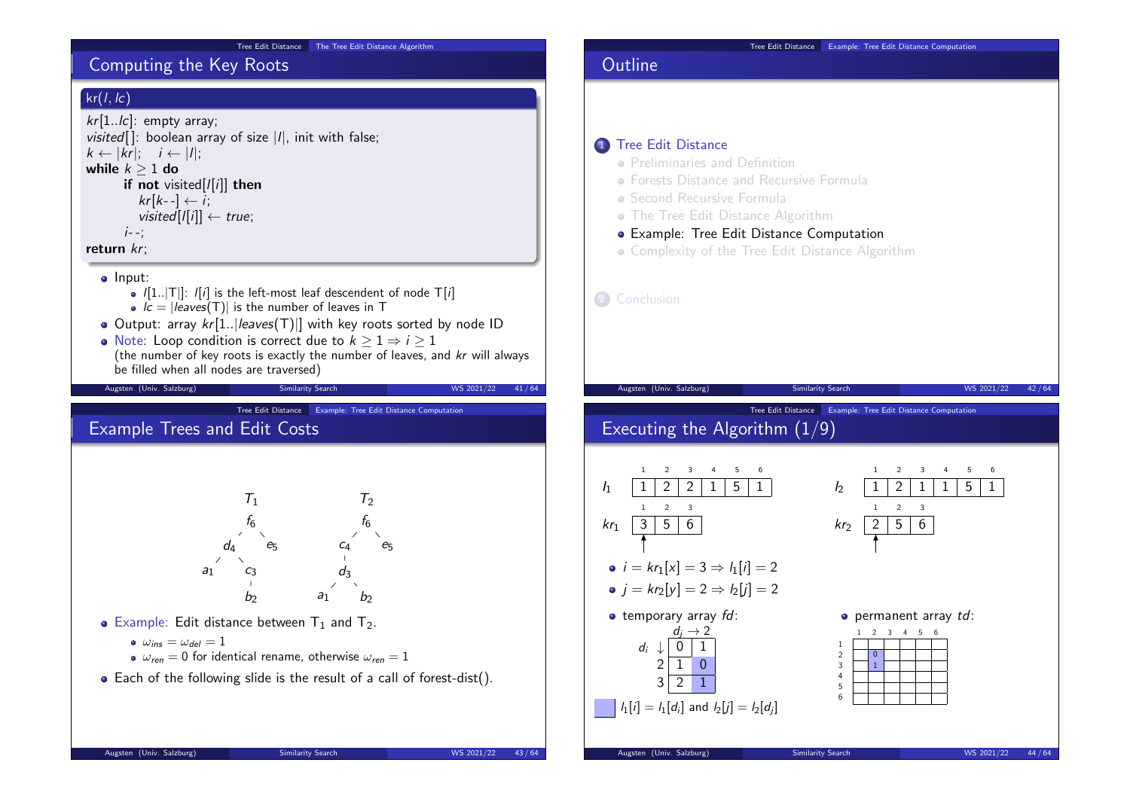#### Tree Edit Distance The Tree Edit Distance Algorithm

# Computing the Key Roots

# $kr(l, lc)$

```
kr[1..lc]: empty array;
visited[]: boolean array of size |I|, init with false;k \leftarrow |kr|; \quad i \leftarrow |l|;while k > 1 do
      if not visited[/[i]] then
         kr[k-] \leftarrow i;visited[|i|] \leftarrow true;i - 1return kr;
   o Input:
        \bullet \vert[1..|T|]: \vert[i] is the left-most leaf descendent of node T[i]
        • \vec{c} = |leaves(T)| is the number of leaves in T
  \bullet Output: array kr[1..|leaves(T)|] with key roots sorted by node ID
  • Note: Loop condition is correct due to k \geq 1 \Rightarrow i \geq 1(the number of key roots is exactly the number of leaves, and kr will always
     be filled when all nodes are traversed)
   Augsten (Univ. Salzburg) Similarity Search WS 2021/22 41/64
                             Tree Edit Distance Example: Tree Edit Distance Computation
Example Trees and Edit Costs
                               T_1 T_2f_6d_4a<sub>1</sub>b<sub>2</sub>e<sub>5</sub>f<sub>6</sub>c<sub>4</sub>d_3a_1 b
                                                          e<sub>5</sub>• Example: Edit distance between T_1 and T_2.
        \omega_{ins} = \omega_{del} = 1\omega_{ren} = 0 for identical rename, otherwise \omega_{ren} = 1• Each of the following slide is the result of a call of forest-dist().
   Augsten (Univ. Salzburg) Similarity Search WS 2021/22 43/64
```
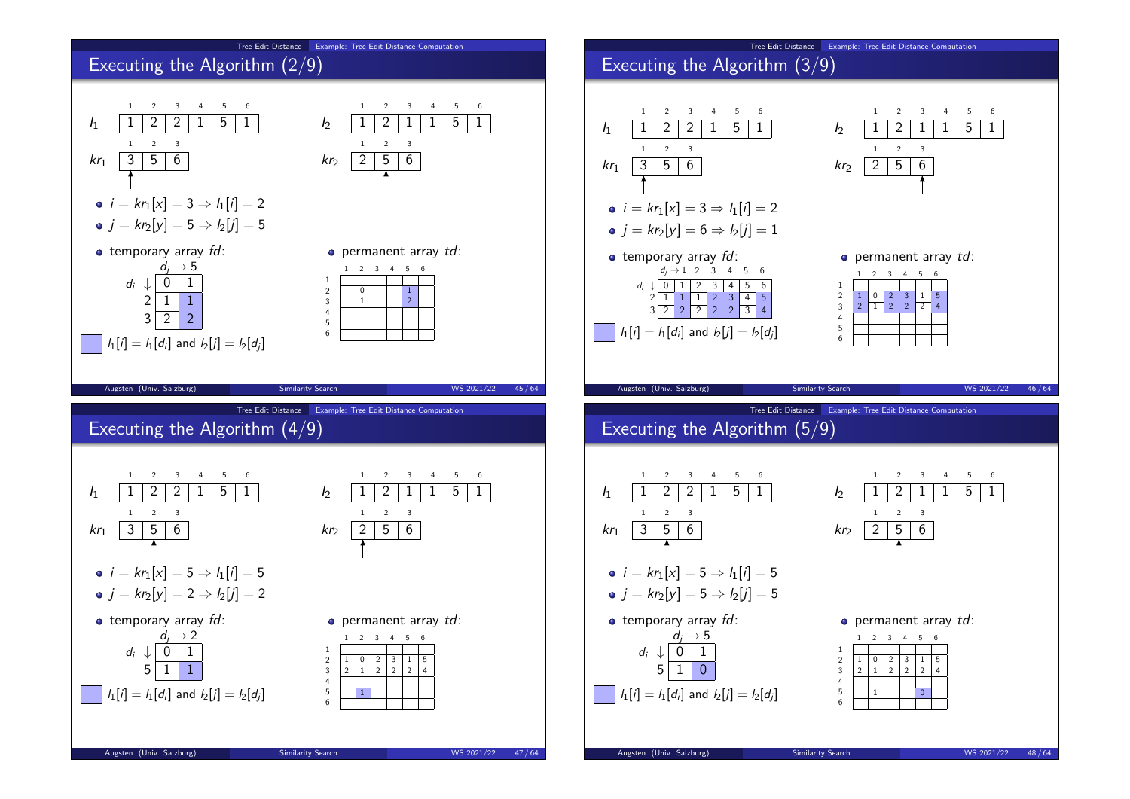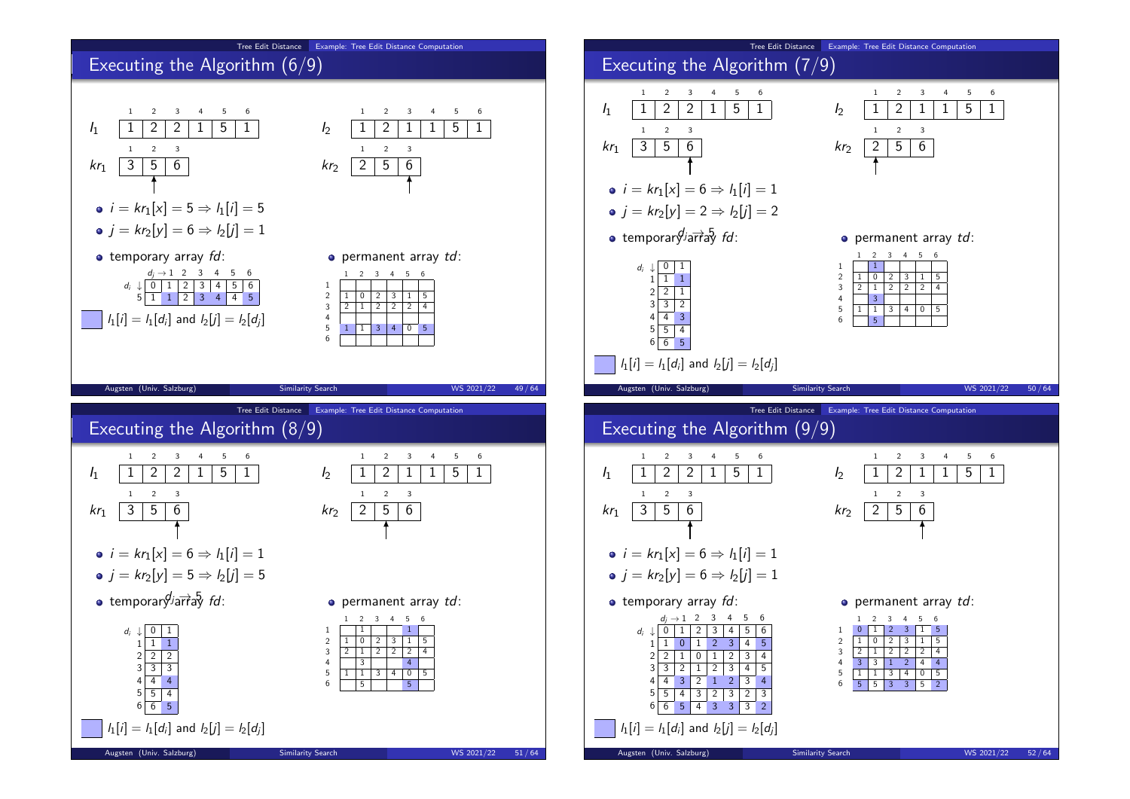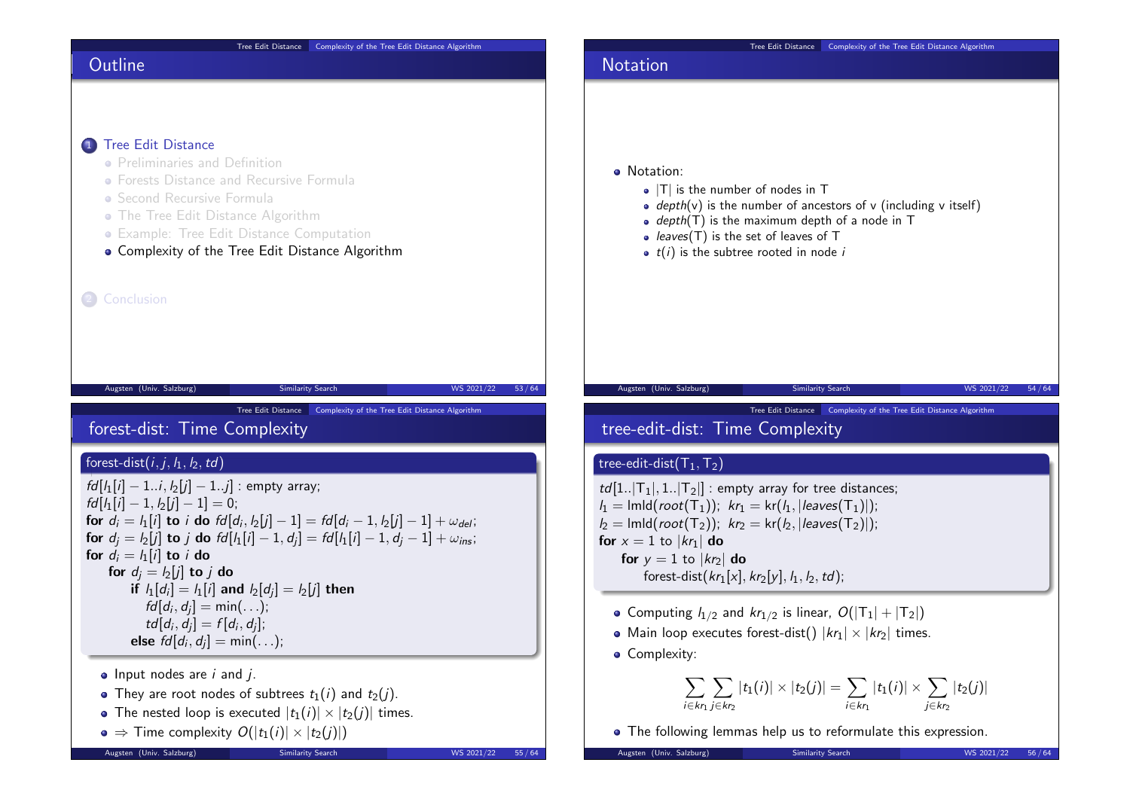| Tree Edit Distance Complexity of the Tree Edit Distance Algorithm                                                                                                                                                                                                                                                                                                                                                                                                                                                                                  | Tree Edit Distance Complexity of the Tree Edit Distance Algorithm                                                                                                                                                                                                                                                                                                                                                                                                                                                                        |
|----------------------------------------------------------------------------------------------------------------------------------------------------------------------------------------------------------------------------------------------------------------------------------------------------------------------------------------------------------------------------------------------------------------------------------------------------------------------------------------------------------------------------------------------------|------------------------------------------------------------------------------------------------------------------------------------------------------------------------------------------------------------------------------------------------------------------------------------------------------------------------------------------------------------------------------------------------------------------------------------------------------------------------------------------------------------------------------------------|
| Outline                                                                                                                                                                                                                                                                                                                                                                                                                                                                                                                                            | <b>Notation</b>                                                                                                                                                                                                                                                                                                                                                                                                                                                                                                                          |
| 1) Tree Edit Distance<br>• Preliminaries and Definition<br>• Forests Distance and Recursive Formula<br>• Second Recursive Formula<br>• The Tree Edit Distance Algorithm<br>• Example: Tree Edit Distance Computation<br>• Complexity of the Tree Edit Distance Algorithm<br>2 Conclusion                                                                                                                                                                                                                                                           | • Notation:<br>$\bullet$  T  is the number of nodes in T<br>• depth(v) is the number of ancestors of v (including v itself)<br>• $depth(T)$ is the maximum depth of a node in T<br>• leaves( $T$ ) is the set of leaves of $T$<br>• $t(i)$ is the subtree rooted in node i                                                                                                                                                                                                                                                               |
| Augsten (Univ. Salzburg)<br>WS 2021/22<br>53/64<br>Similarity Search<br>Tree Edit Distance   Complexity of the Tree Edit Distance Algorithm<br>forest-dist: Time Complexity                                                                                                                                                                                                                                                                                                                                                                        | Augsten (Univ. Salzburg)<br><b>Similarity Search</b><br>WS 2021/22<br>Tree Edit Distance   Complexity of the Tree Edit Distance Algorithm<br>tree-edit-dist: Time Complexity                                                                                                                                                                                                                                                                                                                                                             |
| forest-dist $(i, j, I_1, I_2, td)$<br>$fd[i][i] - 1i, i_2[j] - 1j]$ : empty array;<br>$fd[i_1[i] - 1, i_2[i] - 1] = 0;$<br>for $d_i = l_1[i]$ to i do $fd[d_i, l_2[j] - 1] = fd[d_i - 1, l_2[j] - 1] + \omega_{del}$ ;<br>for $d_i = l_2[j]$ to j do $fd[l_1[i] - 1, d_i] = fd[l_1[i] - 1, d_i - 1] + \omega_{ins}$ ;<br>for $d_i = l_1[i]$ to <i>i</i> do<br>for $d_i = l_2[j]$ to j do<br>if $l_1[d_i] = l_1[i]$ and $l_2[d_i] = l_2[i]$ then<br>$fd[d_i, d_i] = min();$<br>$td[d_i, d_i] = f[d_i, d_i];$<br><b>else</b> $fd[d_i, d_i] = min();$ | tree-edit-dist $(T_1, T_2)$<br>$td[1 T_1 , 1 T_2 ]$ : empty array for tree distances;<br>$I_1 = \text{Imld}(root(T_1));$ $kr_1 = \text{kr}(I_1, \text{leaves}(T_1))$ ;<br>$I_2 = \text{Imld}(root(T_2));$ $kr_2 = \text{kr}(I_2,  leaves(T_2) );$<br>for $x = 1$ to $ kr_1 $ do<br>for $y = 1$ to $ kr_2 $ do<br>forest-dist( $kr_1[x]$ , $kr_2[y]$ , $l_1$ , $l_2$ , $td$ );<br>• Computing $l_{1/2}$ and $kr_{1/2}$ is linear, $O( T_1  +  T_2 )$<br>• Main loop executes forest-dist() $ kr_1  \times  kr_2 $ times.<br>• Complexity: |
| $\bullet$ Input nodes are <i>i</i> and <i>j</i> .<br>• They are root nodes of subtrees $t_1(i)$ and $t_2(j)$ .<br>• The nested loop is executed $ t_1(i)  \times  t_2(j) $ times.<br>$\bullet \Rightarrow$ Time complexity $O( t_1(i)  \times  t_2(j) )$<br>Augsten (Univ. Salzburg)<br>Similarity Search<br>WS 2021/22<br>55/64                                                                                                                                                                                                                   | $\sum \sum  t_1(i)  \times  t_2(j)  = \sum  t_1(i)  \times \sum  t_2(j) $<br>$i \in kr_1$ $j \in kr_2$<br>$i \in kr_1$<br>$i \in kr_2$<br>• The following lemmas help us to reformulate this expression.<br>Augsten (Univ. Salzburg)<br>Similarity Search<br>WS 2021/22<br>56/64                                                                                                                                                                                                                                                         |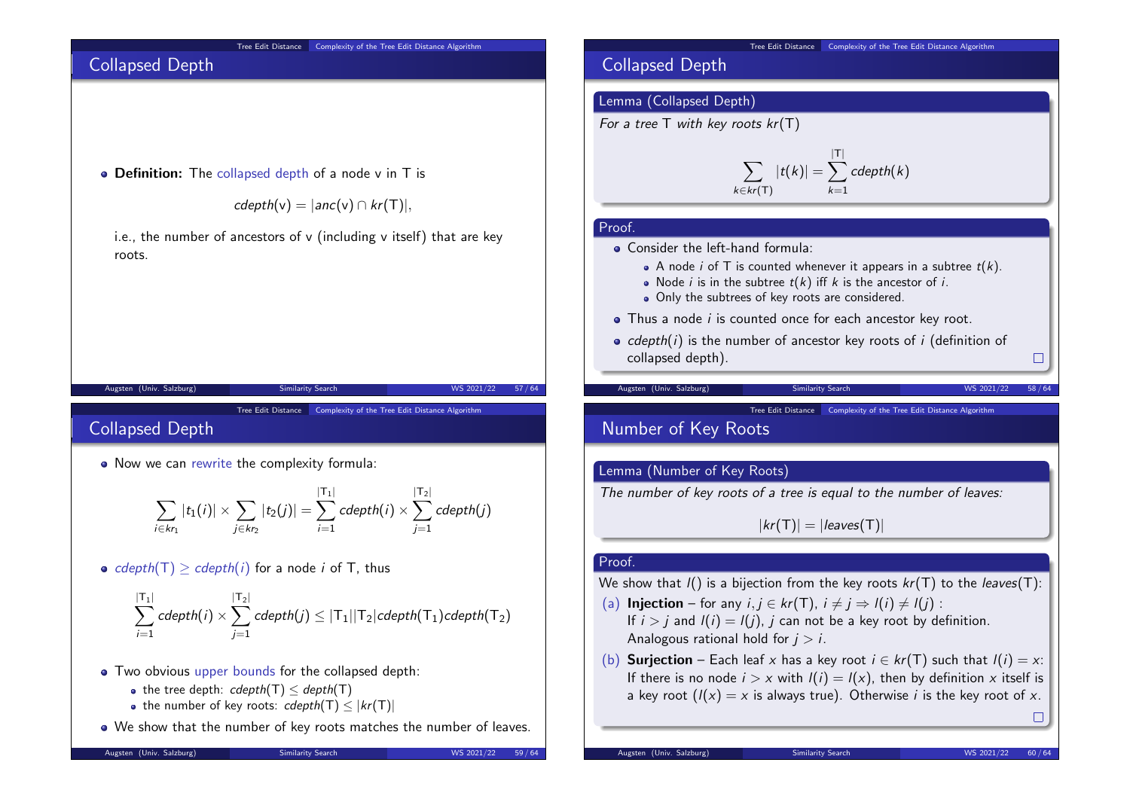#### Tree Edit Distance Complexity of the Tree Edit Distance Algorithm

# Collapsed Depth

• Definition: The collapsed depth of a node v in T is

 $cdepth(v) = |anc(v) \cap kr(T)|$ ,

i.e., the number of ancestors of  $v$  (including  $v$  itself) that are key roots.

Augsten (Univ. Salzburg) Similarity Search WS 2021/22 57/64

Tree Edit Distance Complexity of the Tree Edit Distance Algorithm

# Collapsed Depth

• Now we can rewrite the complexity formula:

$$
\sum_{i \in k r_1} |t_1(i)| \times \sum_{j \in k r_2} |t_2(j)| = \sum_{i=1}^{|T_1|} cdepth(i) \times \sum_{j=1}^{|T_2|} cdepth(j)
$$

• cdepth(T)  $\geq$  cdepth(i) for a node i of T, thus

$$
\sum_{i=1}^{|{\textsf T}_1|} {\textsf{cdepth}}(i) \times \sum_{j=1}^{|{\textsf T}_2|} {\textsf{cdepth}}(j) \leq |{\textsf T}_1||{\textsf T}_2|{\textsf{cdepth}}({\textsf T}_1){\textsf{cdepth}}({\textsf T}_2)
$$

- Two obvious upper bounds for the collapsed depth:
	- the tree depth:  $cdepth(T) < depth(T)$
	- the number of key roots:  $cdepth(T) < |kr(T)|$
- We show that the number of key roots matches the number of leaves.

#### Augsten (Univ. Salzburg) Similarity Search WS 2021/22 59/64

Tree Edit Distance Complexity of the Tree Edit Distance Algorithm

# Collapsed Depth

#### Lemma (Collapsed Depth)

For a tree  $T$  with key roots  $kr(T)$ 

$$
\sum_{k \in kr(T)} |t(k)| = \sum_{k=1}^{|T|} cdepth(k)
$$

#### Proof.

• Consider the left-hand formula:

- A node *i* of T is counted whenever it appears in a subtree  $t(k)$ .
- Node *i* is in the subtree  $t(k)$  iff k is the ancestor of *i*.
- Only the subtrees of key roots are considered.
- $\bullet$  Thus a node *i* is counted once for each ancestor key root.
- $\bullet$  cdepth(i) is the number of ancestor key roots of i (definition of collapsed depth).

Augsten (Univ. Salzburg) Similarity Search WS 2021/22 58/64

Tree Edit Distance Complexity of the Tree Edit Distance Algorithm

# Number of Key Roots

#### Lemma (Number of Key Roots)

The number of key roots of a tree is equal to the number of leaves:

 $|kr(T)| = |leaves(T)|$ 

#### Proof.

We show that  $I()$  is a bijection from the key roots  $kr(T)$  to the leaves(T):

- (a) Injection for any  $i, j \in kr(T)$ ,  $i \neq j \Rightarrow l(i) \neq l(j)$ : If  $i > i$  and  $I(i) = I(i)$ , j can not be a key root by definition. Analogous rational hold for  $i > i$ .
- (b) **Surjection** Each leaf x has a key root  $i \in kr(T)$  such that  $l(i) = x$ : If there is no node  $i > x$  with  $I(i) = I(x)$ , then by definition x itself is a key root  $(l(x) = x$  is always true). Otherwise *i* is the key root of *x*.

 $\Box$ 

 $\Box$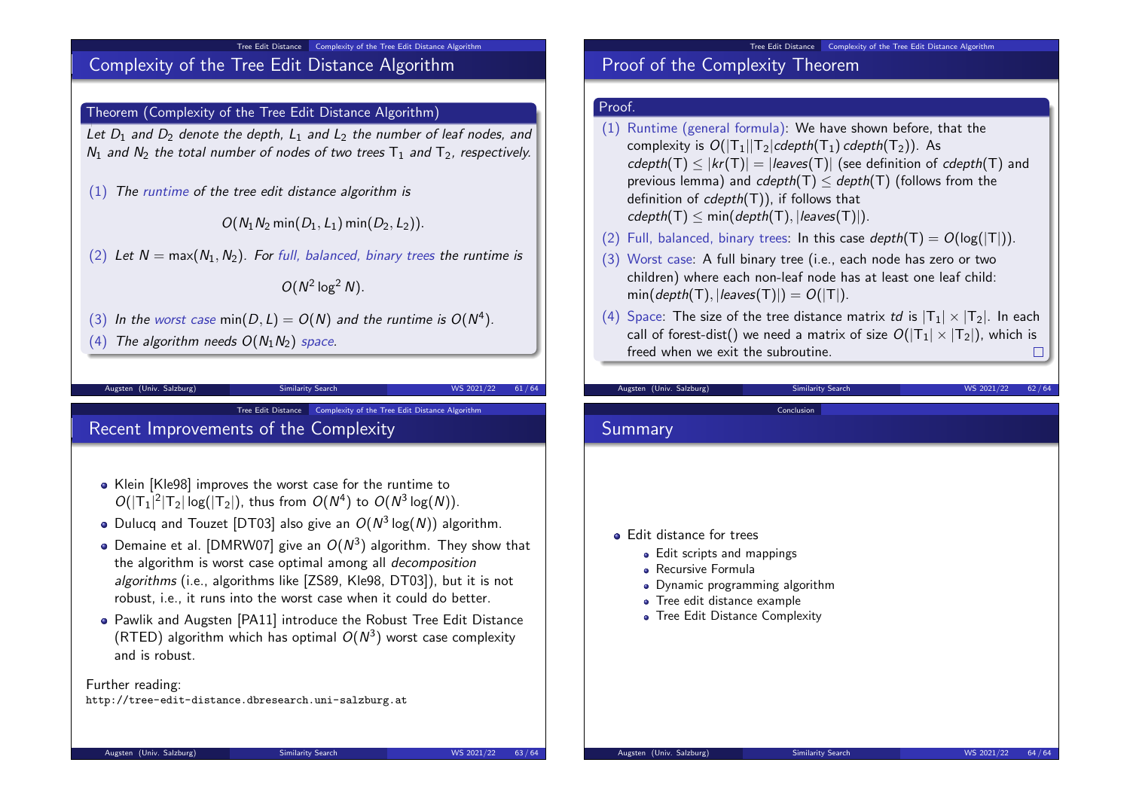#### Tree Edit Distance Complexity of the Tree Edit Distance Algorithm

# Complexity of the Tree Edit Distance Algorithm

#### Theorem (Complexity of the Tree Edit Distance Algorithm)

Let  $D_1$  and  $D_2$  denote the depth,  $L_1$  and  $L_2$  the number of leaf nodes, and  $N_1$  and  $N_2$  the total number of nodes of two trees  $T_1$  and  $T_2$ , respectively.

(1) The runtime of the tree edit distance algorithm is

 $O(N_1N_2 \min(D_1, L_1) \min(D_2, L_2)).$ 

(2) Let  $N = max(N_1, N_2)$ . For full, balanced, binary trees the runtime is

 $O(N^2 \log^2 N)$ .

Tree Edit Distance Complexity of the Tree Edit Distance Algorithm

(3) In the worst case min( $D, L$ ) =  $O(N)$  and the runtime is  $O(N^4)$ .

(4) The algorithm needs  $O(N_1N_2)$  space.

Augsten (Univ. Salzburg) Similarity Search WS 2021/22 61/64

# Recent Improvements of the Complexity

- Klein [Kle98] improves the worst case for the runtime to  $O(|T_1|^2|T_2|\log(|T_2|))$ , thus from  $O(N^4)$  to  $O(N^3\log(N))$ .
- Dulucq and Touzet [DT03] also give an  $O(N^3 \log(N))$  algorithm.
- Demaine et al. [DMRW07] give an  $O(N^3)$  algorithm. They show that the algorithm is worst case optimal among all decomposition algorithms (i.e., algorithms like [ZS89, Kle98, DT03]), but it is not robust, i.e., it runs into the worst case when it could do better.
- Pawlik and Augsten [PA11] introduce the Robust Tree Edit Distance (RTED) algorithm which has optimal  $O(N^3)$  worst case complexity and is robust.

Further reading:

http://tree-edit-distance.dbresearch.uni-salzburg.at

#### Tree Edit Distance Complexity of the Tree Edit Distance Algorithm

# Proof of the Complexity Theorem

#### Proof.

- (1) Runtime (general formula): We have shown before, that the complexity is  $O(|T_1||T_2|cdepth(T_1) cdepth(T_2))$ . As  $cdepth(T)$  <  $|kr(T)| = |leaves(T)|$  (see definition of  $cdepth(T)$  and previous lemma) and  $cdepth(T) < depth(T)$  (follows from the definition of  $cdenth(T)$ ), if follows that  $cdepth(T) < min(depth(T), |leaves(T)|).$
- (2) Full, balanced, binary trees: In this case  $depth(T) = O(log(T))$ .
- (3) Worst case: A full binary tree (i.e., each node has zero or two children) where each non-leaf node has at least one leaf child:  $min(depth(T), |leaves(T)|) = O(|T|).$

Conclusion

(4) Space: The size of the tree distance matrix td is  $|T_1| \times |T_2|$ . In each call of forest-dist() we need a matrix of size  $O(|T_1| \times |T_2|)$ , which is freed when we exit the subroutine. freed when we exit the subroutine.

Augsten (Univ. Salzburg) Similarity Search WS 2021/22 62/64

### Summary

- Edit distance for trees
	- Edit scripts and mappings
	- Recursive Formula
	- Dynamic programming algorithm
	- Tree edit distance example
	- Tree Edit Distance Complexity